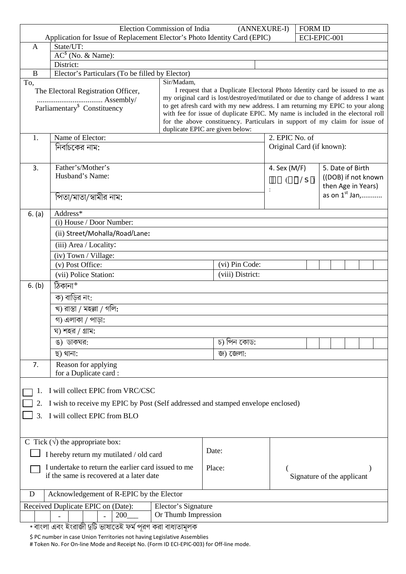| Election Commission of India<br><b>FORM ID</b><br>(ANNEXURE-I)<br>ECI-EPIC-001                                                                                                                        |                                                                                  |                |                                                                                 |                                    |                            |                    |                     |  |  |
|-------------------------------------------------------------------------------------------------------------------------------------------------------------------------------------------------------|----------------------------------------------------------------------------------|----------------|---------------------------------------------------------------------------------|------------------------------------|----------------------------|--------------------|---------------------|--|--|
| Application for Issue of Replacement Elector's Photo Identity Card (EPIC)<br>State/UT:<br>$\mathsf{A}$                                                                                                |                                                                                  |                |                                                                                 |                                    |                            |                    |                     |  |  |
|                                                                                                                                                                                                       | $AC^{\$}$ (No. & Name):                                                          |                |                                                                                 |                                    |                            |                    |                     |  |  |
|                                                                                                                                                                                                       | District:                                                                        |                |                                                                                 |                                    |                            |                    |                     |  |  |
| B                                                                                                                                                                                                     | Elector's Particulars (To be filled by Elector)                                  |                |                                                                                 |                                    |                            |                    |                     |  |  |
| To,                                                                                                                                                                                                   | Sir/Madam,                                                                       |                |                                                                                 |                                    |                            |                    |                     |  |  |
| I request that a Duplicate Electoral Photo Identity card be issued to me as<br>The Electoral Registration Officer,<br>my original card is lost/destroyed/mutilated or due to change of address I want |                                                                                  |                |                                                                                 |                                    |                            |                    |                     |  |  |
|                                                                                                                                                                                                       | Parliamentary <sup>\$</sup> Constituency                                         |                | to get afresh card with my new address. I am returning my EPIC to your along    |                                    |                            |                    |                     |  |  |
|                                                                                                                                                                                                       |                                                                                  |                | with fee for issue of duplicate EPIC. My name is included in the electoral roll |                                    |                            |                    |                     |  |  |
| for the above constituency. Particulars in support of my claim for issue of<br>duplicate EPIC are given below:                                                                                        |                                                                                  |                |                                                                                 |                                    |                            |                    |                     |  |  |
| 1.                                                                                                                                                                                                    | Name of Elector:                                                                 |                | 2. EPIC No. of                                                                  |                                    |                            |                    |                     |  |  |
|                                                                                                                                                                                                       | নির্বাচকের নাম:                                                                  |                | Original Card (if known):                                                       |                                    |                            |                    |                     |  |  |
|                                                                                                                                                                                                       |                                                                                  |                |                                                                                 |                                    |                            |                    |                     |  |  |
| 3.                                                                                                                                                                                                    | Father's/Mother's                                                                |                |                                                                                 | 5. Date of Birth<br>4. Sex $(M/F)$ |                            |                    |                     |  |  |
|                                                                                                                                                                                                       | Husband's Name:                                                                  |                |                                                                                 |                                    |                            |                    | ((DOB) if not known |  |  |
|                                                                                                                                                                                                       |                                                                                  |                |                                                                                 |                                    |                            | then Age in Years) |                     |  |  |
|                                                                                                                                                                                                       | পিতা/মাতা/স্বামীর নাম:                                                           |                |                                                                                 |                                    |                            |                    | as on $1^{st}$ Jan, |  |  |
|                                                                                                                                                                                                       |                                                                                  |                |                                                                                 |                                    |                            |                    |                     |  |  |
| 6. (a)                                                                                                                                                                                                | Address*<br>(i) House / Door Number:                                             |                |                                                                                 |                                    |                            |                    |                     |  |  |
|                                                                                                                                                                                                       | (ii) Street/Mohalla/Road/Lane:                                                   |                |                                                                                 |                                    |                            |                    |                     |  |  |
|                                                                                                                                                                                                       |                                                                                  |                |                                                                                 |                                    |                            |                    |                     |  |  |
|                                                                                                                                                                                                       | (iii) Area / Locality:                                                           |                |                                                                                 |                                    |                            |                    |                     |  |  |
|                                                                                                                                                                                                       | (iv) Town / Village:<br>(v) Post Office:                                         | (vi) Pin Code: |                                                                                 |                                    |                            |                    |                     |  |  |
|                                                                                                                                                                                                       | (vii) Police Station:                                                            |                | (viii) District:                                                                |                                    |                            |                    |                     |  |  |
| 6. (b)                                                                                                                                                                                                | ঠিকানা*                                                                          |                |                                                                                 |                                    |                            |                    |                     |  |  |
|                                                                                                                                                                                                       |                                                                                  |                |                                                                                 |                                    |                            |                    |                     |  |  |
|                                                                                                                                                                                                       | ক) বাড়ির নং:<br>খ) রাস্তা / মহল্লা / গলি:<br>গ) এলাকা / পাড়া:                  |                |                                                                                 |                                    |                            |                    |                     |  |  |
|                                                                                                                                                                                                       |                                                                                  |                |                                                                                 |                                    |                            |                    |                     |  |  |
|                                                                                                                                                                                                       | ঘ) শহর / গ্রাম:                                                                  |                |                                                                                 |                                    |                            |                    |                     |  |  |
|                                                                                                                                                                                                       | চ) পিন কোড:<br>ঙ) ডাকঘর:                                                         |                |                                                                                 |                                    |                            |                    |                     |  |  |
|                                                                                                                                                                                                       | ছ) থানা:                                                                         |                | জ) জেলা:                                                                        |                                    |                            |                    |                     |  |  |
| 7.                                                                                                                                                                                                    | Reason for applying                                                              |                |                                                                                 |                                    |                            |                    |                     |  |  |
|                                                                                                                                                                                                       | for a Duplicate card:                                                            |                |                                                                                 |                                    |                            |                    |                     |  |  |
|                                                                                                                                                                                                       |                                                                                  |                |                                                                                 |                                    |                            |                    |                     |  |  |
|                                                                                                                                                                                                       | I will collect EPIC from VRC/CSC                                                 |                |                                                                                 |                                    |                            |                    |                     |  |  |
| 2.                                                                                                                                                                                                    | I wish to receive my EPIC by Post (Self addressed and stamped envelope enclosed) |                |                                                                                 |                                    |                            |                    |                     |  |  |
| 3.                                                                                                                                                                                                    | I will collect EPIC from BLO                                                     |                |                                                                                 |                                    |                            |                    |                     |  |  |
|                                                                                                                                                                                                       |                                                                                  |                |                                                                                 |                                    |                            |                    |                     |  |  |
|                                                                                                                                                                                                       |                                                                                  |                |                                                                                 |                                    |                            |                    |                     |  |  |
|                                                                                                                                                                                                       | C Tick $(\forall)$ the appropriate box:                                          | Date:          |                                                                                 |                                    |                            |                    |                     |  |  |
| I hereby return my mutilated / old card                                                                                                                                                               |                                                                                  |                |                                                                                 |                                    |                            |                    |                     |  |  |
| I undertake to return the earlier card issued to me                                                                                                                                                   |                                                                                  |                | Place:                                                                          |                                    |                            |                    |                     |  |  |
| if the same is recovered at a later date                                                                                                                                                              |                                                                                  |                |                                                                                 |                                    | Signature of the applicant |                    |                     |  |  |
| Acknowledgement of R-EPIC by the Elector<br>D                                                                                                                                                         |                                                                                  |                |                                                                                 |                                    |                            |                    |                     |  |  |
| Received Duplicate EPIC on (Date):<br>Elector's Signature                                                                                                                                             |                                                                                  |                |                                                                                 |                                    |                            |                    |                     |  |  |
| Or Thumb Impression<br>200                                                                                                                                                                            |                                                                                  |                |                                                                                 |                                    |                            |                    |                     |  |  |
|                                                                                                                                                                                                       |                                                                                  |                |                                                                                 |                                    |                            |                    |                     |  |  |

\* বাংলা এবং ইংরাজী দুটি ভাষাতেই ফর্ম পূরণ করা বাধ্যতামূলক

\$ PC number in case Union Territories not having Legislative Assemblies

# Token No. For On-line Mode and Receipt No. (Form ID ECI-EPIC-003) for Off-line mode.